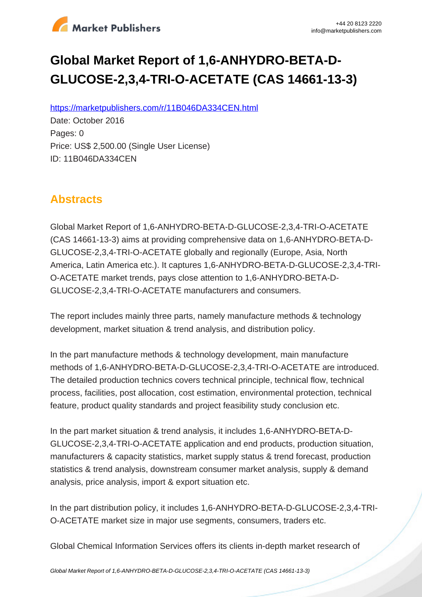

# **Global Market Report of 1,6-ANHYDRO-BETA-D-GLUCOSE-2,3,4-TRI-O-ACETATE (CAS 14661-13-3)**

https://marketpublishers.com/r/11B046DA334CEN.html

Date: October 2016 Pages: 0 Price: US\$ 2,500.00 (Single User License) ID: 11B046DA334CEN

# **Abstracts**

Global Market Report of 1,6-ANHYDRO-BETA-D-GLUCOSE-2,3,4-TRI-O-ACETATE (CAS 14661-13-3) aims at providing comprehensive data on 1,6-ANHYDRO-BETA-D-GLUCOSE-2,3,4-TRI-O-ACETATE globally and regionally (Europe, Asia, North America, Latin America etc.). It captures 1,6-ANHYDRO-BETA-D-GLUCOSE-2,3,4-TRI-O-ACETATE market trends, pays close attention to 1,6-ANHYDRO-BETA-D-GLUCOSE-2,3,4-TRI-O-ACETATE manufacturers and consumers.

The report includes mainly three parts, namely manufacture methods & technology development, market situation & trend analysis, and distribution policy.

In the part manufacture methods & technology development, main manufacture methods of 1,6-ANHYDRO-BETA-D-GLUCOSE-2,3,4-TRI-O-ACETATE are introduced. The detailed production technics covers technical principle, technical flow, technical process, facilities, post allocation, cost estimation, environmental protection, technical feature, product quality standards and project feasibility study conclusion etc.

In the part market situation & trend analysis, it includes 1,6-ANHYDRO-BETA-D-GLUCOSE-2,3,4-TRI-O-ACETATE application and end products, production situation, manufacturers & capacity statistics, market supply status & trend forecast, production statistics & trend analysis, downstream consumer market analysis, supply & demand analysis, price analysis, import & export situation etc.

In the part distribution policy, it includes 1,6-ANHYDRO-BETA-D-GLUCOSE-2,3,4-TRI-O-ACETATE market size in major use segments, consumers, traders etc.

Global Chemical Information Services offers its clients in-depth market research of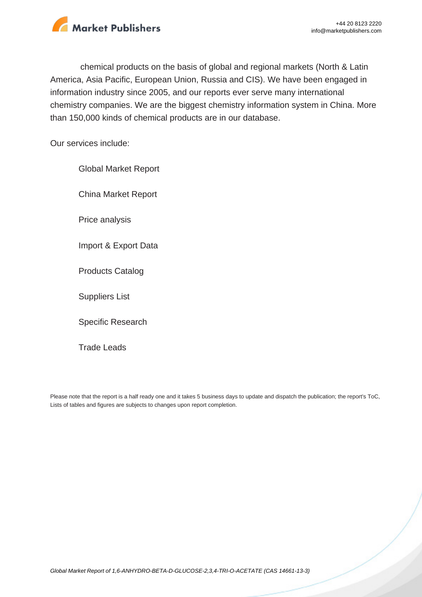

chemical products on the basis of global and regional markets (North & Latin America, Asia Pacific, European Union, Russia and CIS). We have been engaged in information industry since 2005, and our reports ever serve many international chemistry companies. We are the biggest chemistry information system in China. More than 150,000 kinds of chemical products are in our database.

Our services include:

Global Market Report China Market Report Price analysis Import & Export Data Products Catalog Suppliers List Specific Research

Trade Leads

Please note that the report is a half ready one and it takes 5 business days to update and dispatch the publication; the report's ToC, Lists of tables and figures are subjects to changes upon report completion.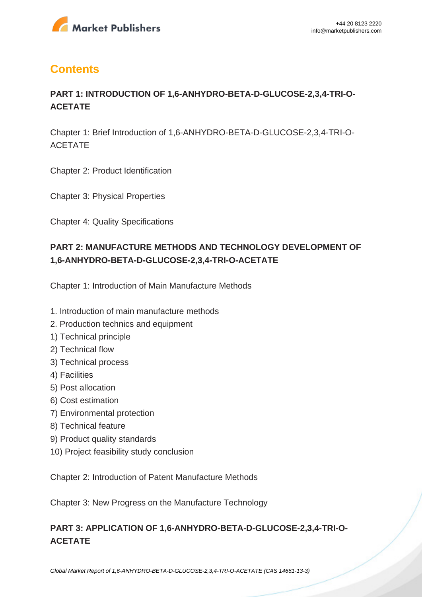

# **Contents**

# **PART 1: INTRODUCTION OF 1,6-ANHYDRO-BETA-D-GLUCOSE-2,3,4-TRI-O-ACETATE**

Chapter 1: Brief Introduction of 1,6-ANHYDRO-BETA-D-GLUCOSE-2,3,4-TRI-O-ACETATE

Chapter 2: Product Identification

Chapter 3: Physical Properties

Chapter 4: Quality Specifications

# **PART 2: MANUFACTURE METHODS AND TECHNOLOGY DEVELOPMENT OF 1,6-ANHYDRO-BETA-D-GLUCOSE-2,3,4-TRI-O-ACETATE**

Chapter 1: Introduction of Main Manufacture Methods

- 1. Introduction of main manufacture methods
- 2. Production technics and equipment
- 1) Technical principle
- 2) Technical flow
- 3) Technical process
- 4) Facilities
- 5) Post allocation
- 6) Cost estimation
- 7) Environmental protection
- 8) Technical feature
- 9) Product quality standards
- 10) Project feasibility study conclusion

Chapter 2: Introduction of Patent Manufacture Methods

Chapter 3: New Progress on the Manufacture Technology

# **PART 3: APPLICATION OF 1,6-ANHYDRO-BETA-D-GLUCOSE-2,3,4-TRI-O-ACETATE**

[Global Market Report of 1,6-ANHYDRO-BETA-D-GLUCOSE-2,3,4-TRI-O-ACETATE \(CAS 14661-13-3\)](https://marketpublishers.com/report/cas/14661-13-3-bc645717.html)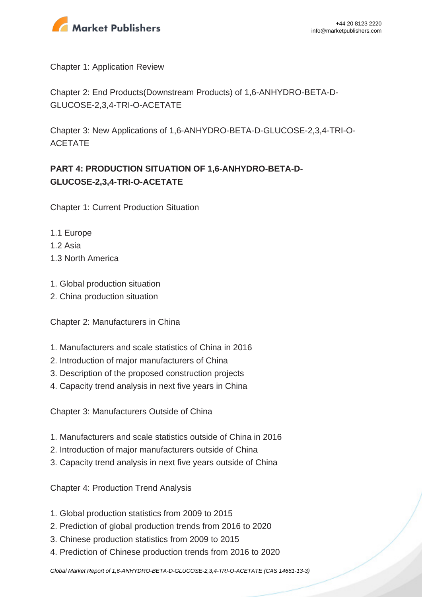

Chapter 1: Application Review

Chapter 2: End Products(Downstream Products) of 1,6-ANHYDRO-BETA-D-GLUCOSE-2,3,4-TRI-O-ACETATE

Chapter 3: New Applications of 1,6-ANHYDRO-BETA-D-GLUCOSE-2,3,4-TRI-O-ACETATE

# **PART 4: PRODUCTION SITUATION OF 1,6-ANHYDRO-BETA-D-GLUCOSE-2,3,4-TRI-O-ACETATE**

Chapter 1: Current Production Situation

- 1.1 Europe
- $1.2$  Asia
- 1.3 North America
- 1. Global production situation
- 2. China production situation

Chapter 2: Manufacturers in China

- 1. Manufacturers and scale statistics of China in 2016
- 2. Introduction of major manufacturers of China
- 3. Description of the proposed construction projects
- 4. Capacity trend analysis in next five years in China

Chapter 3: Manufacturers Outside of China

- 1. Manufacturers and scale statistics outside of China in 2016
- 2. Introduction of major manufacturers outside of China
- 3. Capacity trend analysis in next five years outside of China

Chapter 4: Production Trend Analysis

- 1. Global production statistics from 2009 to 2015
- 2. Prediction of global production trends from 2016 to 2020
- 3. Chinese production statistics from 2009 to 2015
- 4. Prediction of Chinese production trends from 2016 to 2020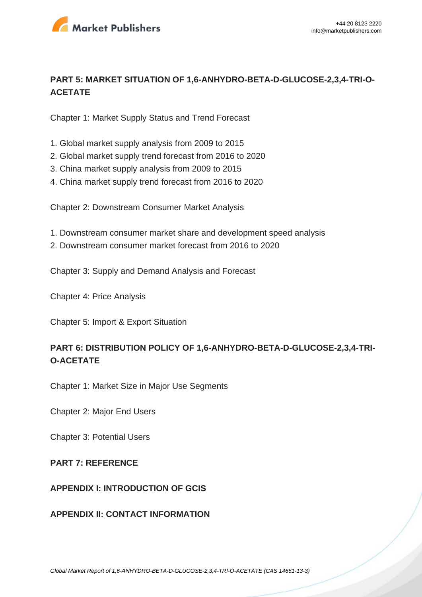

### **PART 5: MARKET SITUATION OF 1,6-ANHYDRO-BETA-D-GLUCOSE-2,3,4-TRI-O-ACETATE**

Chapter 1: Market Supply Status and Trend Forecast

- 1. Global market supply analysis from 2009 to 2015
- 2. Global market supply trend forecast from 2016 to 2020
- 3. China market supply analysis from 2009 to 2015
- 4. China market supply trend forecast from 2016 to 2020

Chapter 2: Downstream Consumer Market Analysis

- 1. Downstream consumer market share and development speed analysis
- 2. Downstream consumer market forecast from 2016 to 2020

Chapter 3: Supply and Demand Analysis and Forecast

Chapter 4: Price Analysis

Chapter 5: Import & Export Situation

## **PART 6: DISTRIBUTION POLICY OF 1,6-ANHYDRO-BETA-D-GLUCOSE-2,3,4-TRI-O-ACETATE**

Chapter 1: Market Size in Major Use Segments

Chapter 2: Major End Users

Chapter 3: Potential Users

#### **PART 7: REFERENCE**

#### **APPENDIX I: INTRODUCTION OF GCIS**

#### **APPENDIX II: CONTACT INFORMATION**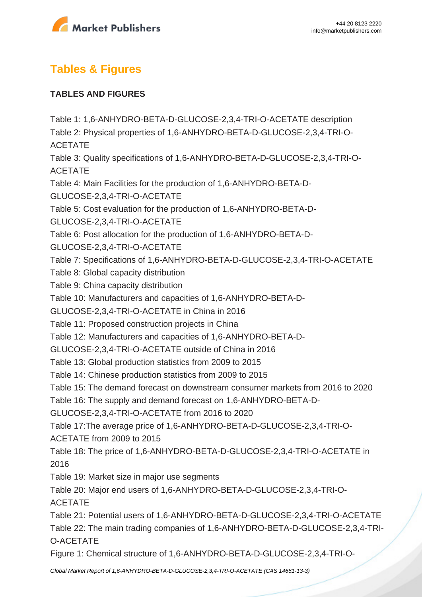

# **Tables & Figures**

### **TABLES AND FIGURES**

Table 1: 1,6-ANHYDRO-BETA-D-GLUCOSE-2,3,4-TRI-O-ACETATE description Table 2: Physical properties of 1,6-ANHYDRO-BETA-D-GLUCOSE-2,3,4-TRI-O-ACETATE Table 3: Quality specifications of 1,6-ANHYDRO-BETA-D-GLUCOSE-2,3,4-TRI-O-ACETATE Table 4: Main Facilities for the production of 1,6-ANHYDRO-BETA-D-GLUCOSE-2,3,4-TRI-O-ACETATE Table 5: Cost evaluation for the production of 1,6-ANHYDRO-BETA-D-GLUCOSE-2,3,4-TRI-O-ACETATE Table 6: Post allocation for the production of 1,6-ANHYDRO-BETA-D-GLUCOSE-2,3,4-TRI-O-ACETATE Table 7: Specifications of 1,6-ANHYDRO-BETA-D-GLUCOSE-2,3,4-TRI-O-ACETATE Table 8: Global capacity distribution Table 9: China capacity distribution Table 10: Manufacturers and capacities of 1,6-ANHYDRO-BETA-D-GLUCOSE-2,3,4-TRI-O-ACETATE in China in 2016 Table 11: Proposed construction projects in China Table 12: Manufacturers and capacities of 1,6-ANHYDRO-BETA-D-GLUCOSE-2,3,4-TRI-O-ACETATE outside of China in 2016 Table 13: Global production statistics from 2009 to 2015 Table 14: Chinese production statistics from 2009 to 2015 Table 15: The demand forecast on downstream consumer markets from 2016 to 2020 Table 16: The supply and demand forecast on 1,6-ANHYDRO-BETA-D-GLUCOSE-2,3,4-TRI-O-ACETATE from 2016 to 2020 Table 17:The average price of 1,6-ANHYDRO-BETA-D-GLUCOSE-2,3,4-TRI-O-ACETATE from 2009 to 2015 Table 18: The price of 1,6-ANHYDRO-BETA-D-GLUCOSE-2,3,4-TRI-O-ACETATE in 2016 Table 19: Market size in major use segments Table 20: Major end users of 1,6-ANHYDRO-BETA-D-GLUCOSE-2,3,4-TRI-O-ACETATE Table 21: Potential users of 1,6-ANHYDRO-BETA-D-GLUCOSE-2,3,4-TRI-O-ACETATE Table 22: The main trading companies of 1,6-ANHYDRO-BETA-D-GLUCOSE-2,3,4-TRI-O-ACETATE Figure 1: Chemical structure of 1,6-ANHYDRO-BETA-D-GLUCOSE-2,3,4-TRI-O-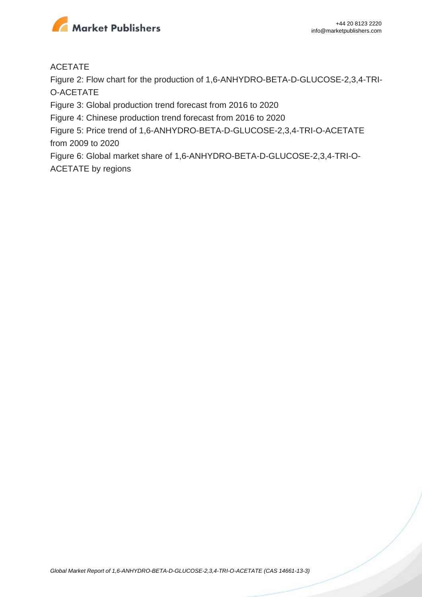

#### ACETATE

Figure 2: Flow chart for the production of 1,6-ANHYDRO-BETA-D-GLUCOSE-2,3,4-TRI-O-ACETATE

Figure 3: Global production trend forecast from 2016 to 2020

Figure 4: Chinese production trend forecast from 2016 to 2020

Figure 5: Price trend of 1,6-ANHYDRO-BETA-D-GLUCOSE-2,3,4-TRI-O-ACETATE from 2009 to 2020

Figure 6: Global market share of 1,6-ANHYDRO-BETA-D-GLUCOSE-2,3,4-TRI-O-ACETATE by regions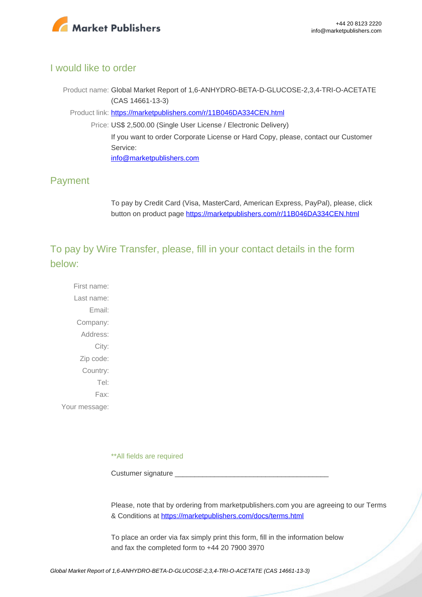

#### I would like to order

Product name: Global Market Report of 1,6-ANHYDRO-BETA-D-GLUCOSE-2,3,4-TRI-O-ACETATE (CAS 14661-13-3)

Product link: [https://marketpublishers.com/r/11B046DA334CEN.html](https://marketpublishers.com/report/cas/14661-13-3-bc645717.html)

Price: US\$ 2,500.00 (Single User License / Electronic Delivery) If you want to order Corporate License or Hard Copy, please, contact our Customer Service:

[info@marketpublishers.com](mailto:info@marketpublishers.com)

## Payment

To pay by Credit Card (Visa, MasterCard, American Express, PayPal), please, click button on product page [https://marketpublishers.com/r/11B046DA334CEN.html](https://marketpublishers.com/report/cas/14661-13-3-bc645717.html)

To pay by Wire Transfer, please, fill in your contact details in the form below:

First name: Last name: Email: Company: Address: City: Zip code: Country: Tel: Fax: Your message:

\*\*All fields are required

Custumer signature

Please, note that by ordering from marketpublishers.com you are agreeing to our Terms & Conditions at<https://marketpublishers.com/docs/terms.html>

To place an order via fax simply print this form, fill in the information below and fax the completed form to +44 20 7900 3970